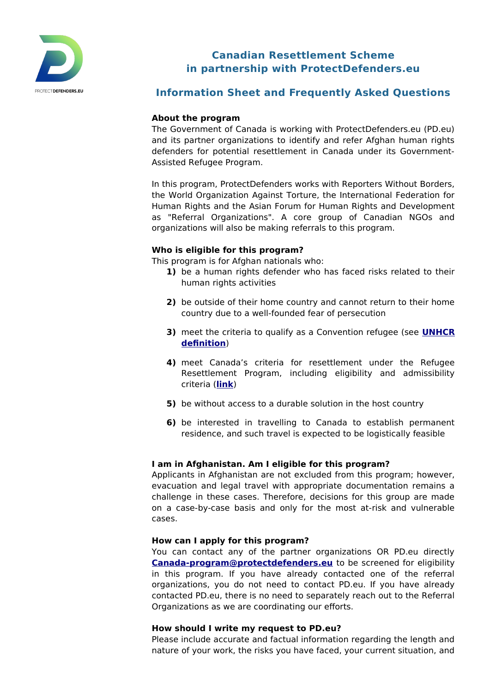

### **Canadian Resettlement Scheme in partnership with ProtectDefenders.eu**

### **Information Sheet and Frequently Asked Questions**

#### **About the program**

The Government of Canada is working with ProtectDefenders.eu (PD.eu) and its partner organizations to identify and refer Afghan human rights defenders for potential resettlement in Canada under its Government-Assisted Refugee Program.

In this program, ProtectDefenders works with Reporters Without Borders, the World Organization Against Torture, the International Federation for Human Rights and the Asian Forum for Human Rights and Development as "Referral Organizations". A core group of Canadian NGOs and organizations will also be making referrals to this program.

#### **Who is eligible for this program?**

This program is for Afghan nationals who:

- **1)** be a human rights defender who has faced risks related to their human rights activities
- **2)** be outside of their home country and cannot return to their home country due to a well-founded fear of persecution
- **3)** meet the criteria to qualify as a Convention refugee (see **[UNHCR](https://www.unhcr.org/what-is-a-refugee.html) [definition](https://www.unhcr.org/what-is-a-refugee.html)**)
- **4)** meet Canada's criteria for resettlement under the Refugee Resettlement Program, including eligibility and admissibility criteria (**[link](https://www.canada.ca/en/immigration-refugees-citizenship/services/application/application-forms-guides/guide-6000-convention-refugees-abroad-humanitarian-protected-persons-abroad.html)**)
- **5)** be without access to a durable solution in the host country
- **6)** be interested in travelling to Canada to establish permanent residence, and such travel is expected to be logistically feasible

#### **I am in Afghanistan. Am I eligible for this program?**

Applicants in Afghanistan are not excluded from this program; however, evacuation and legal travel with appropriate documentation remains a challenge in these cases. Therefore, decisions for this group are made on a case-by-case basis and only for the most at-risk and vulnerable cases.

#### **How can I apply for this program?**

You can contact any of the partner organizations OR PD.eu directly **[Canada-program@protectdefenders.eu](mailto:Canadastream@protectdefenders.eu)** to be screened for eligibility in this program. If you have already contacted one of the referral organizations, you do not need to contact PD.eu. If you have already contacted PD.eu, there is no need to separately reach out to the Referral Organizations as we are coordinating our efforts.

#### **How should I write my request to PD.eu?**

Please include accurate and factual information regarding the length and nature of your work, the risks you have faced, your current situation, and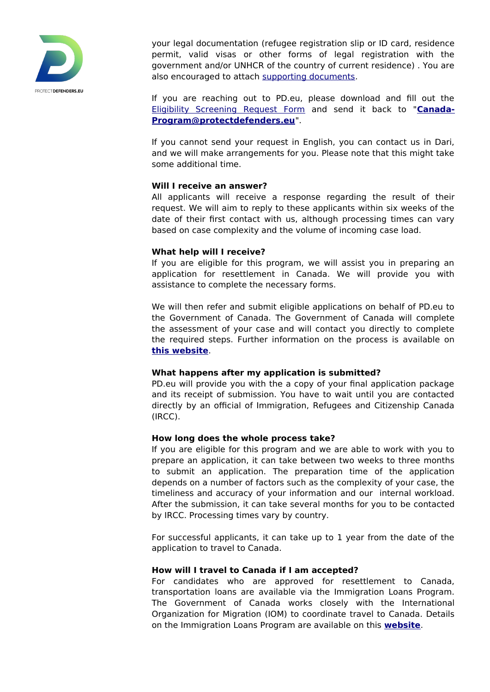

your legal documentation (refugee registration slip or ID card, residence permit, valid visas or other forms of legal registration with the government and/or UNHCR of the country of current residence) . You are also encouraged to attach [supporting documents.](https://protectdefenders.eu/wp-content/uploads/2020/07/Supporting-Documents-checklist-ProtectDefenders_eu-Canada-Resettlement-Stream-v2.pdf)

If you are reaching out to PD.eu, please download and fill out the [Eligibility Screening Request Form](https://protectdefenders.eu/wp-content/uploads/2020/07/Eligibility-Screening-Request-ProtectDefenders_eu-Canada-Resettlement-Stream_eu-Canada-Resettlement-Stream.pdf) and send it back to "**[Canada-](mailto:Canada-Program@protectdefenders.eu)[Program@protectdefenders.eu](mailto:Canada-Program@protectdefenders.eu)**".

If you cannot send your request in English, you can contact us in Dari, and we will make arrangements for you. Please note that this might take some additional time.

#### **Will I receive an answer?**

All applicants will receive a response regarding the result of their request. We will aim to reply to these applicants within six weeks of the date of their first contact with us, although processing times can vary based on case complexity and the volume of incoming case load.

#### **What help will I receive?**

If you are eligible for this program, we will assist you in preparing an application for resettlement in Canada. We will provide you with assistance to complete the necessary forms.

We will then refer and submit eligible applications on behalf of PD.eu to the Government of Canada. The Government of Canada will complete the assessment of your case and will contact you directly to complete the required steps. Further information on the process is available on **[this website](https://www.canada.ca/en/immigration-refugees-citizenship/services/application/application-forms-guides/guide-6000-convention-refugees-abroad-humanitarian-protected-persons-abroad.html)**.

#### **What happens after my application is submitted?**

PD.eu will provide you with the a copy of your final application package and its receipt of submission. You have to wait until you are contacted directly by an official of Immigration, Refugees and Citizenship Canada (IRCC).

#### **How long does the whole process take?**

If you are eligible for this program and we are able to work with you to prepare an application, it can take between two weeks to three months to submit an application. The preparation time of the application depends on a number of factors such as the complexity of your case, the timeliness and accuracy of your information and our internal workload. After the submission, it can take several months for you to be contacted by IRCC. Processing times vary by country.

For successful applicants, it can take up to 1 year from the date of the application to travel to Canada.

#### **How will I travel to Canada if I am accepted?**

For candidates who are approved for resettlement to Canada, transportation loans are available via the Immigration Loans Program. The Government of Canada works closely with the International Organization for Migration (IOM) to coordinate travel to Canada. Details on the Immigration Loans Program are available on this **[website](https://www.canada.ca/en/immigration-refugees-citizenship/corporate/publications-manuals/operational-bulletins-manuals/service-delivery/immigration-loans-program/procedures-transportation.html)**.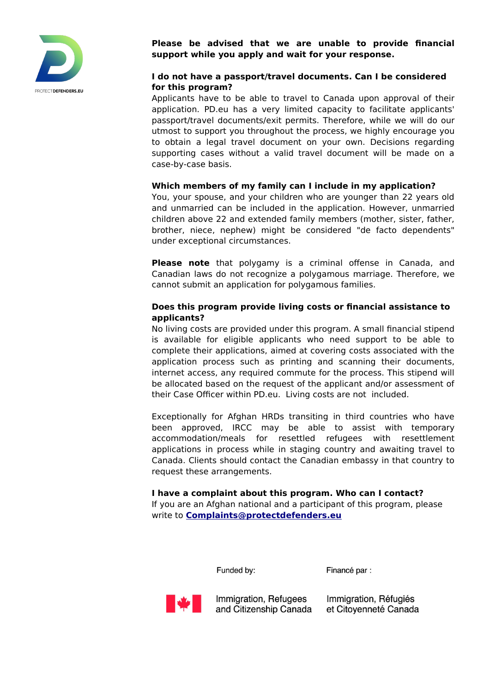

**Please be advised that we are unable to provide financial support while you apply and wait for your response.**

#### **I do not have a passport/travel documents. Can I be considered for this program?**

Applicants have to be able to travel to Canada upon approval of their application. PD.eu has a very limited capacity to facilitate applicants' passport/travel documents/exit permits. Therefore, while we will do our utmost to support you throughout the process, we highly encourage you to obtain a legal travel document on your own. Decisions regarding supporting cases without a valid travel document will be made on a case-by-case basis.

#### **Which members of my family can I include in my application?**

You, your spouse, and your children who are younger than 22 years old and unmarried can be included in the application. However, unmarried children above 22 and extended family members (mother, sister, father, brother, niece, nephew) might be considered "de facto dependents" under exceptional circumstances.

**Please note** that polygamy is a criminal offense in Canada, and Canadian laws do not recognize a polygamous marriage. Therefore, we cannot submit an application for polygamous families.

#### **Does this program provide living costs or financial assistance to applicants?**

No living costs are provided under this program. A small financial stipend is available for eligible applicants who need support to be able to complete their applications, aimed at covering costs associated with the application process such as printing and scanning their documents, internet access, any required commute for the process. This stipend will be allocated based on the request of the applicant and/or assessment of their Case Officer within PD.eu. Living costs are not included.

Exceptionally for Afghan HRDs transiting in third countries who have been approved, IRCC may be able to assist with temporary accommodation/meals for resettled refugees with resettlement applications in process while in staging country and awaiting travel to Canada. Clients should contact the Canadian embassy in that country to request these arrangements.

#### **I have a complaint about this program. Who can I contact?**

If you are an Afghan national and a participant of this program, please write to **[Complaints @protectdefenders.eu](mailto:Complaints@protectdefenders.eu)**

Funded by:

Financé par :



Immigration, Refugees and Citizenship Canada

Immigration, Réfugiés et Citoyenneté Canada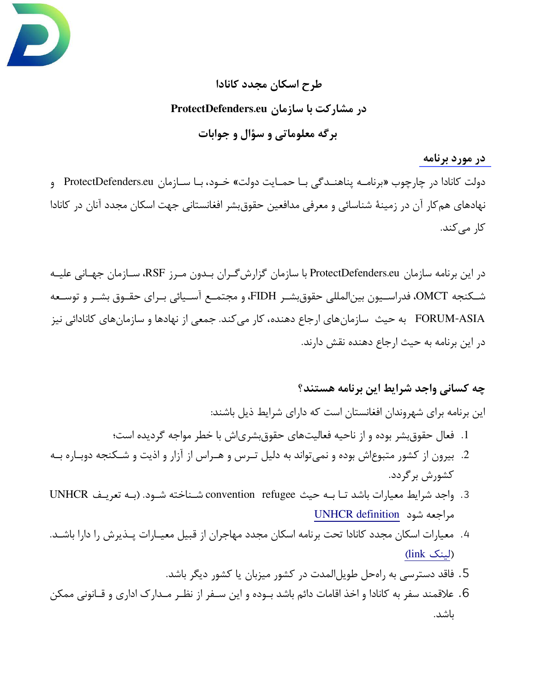

**طرح اسکان مجدد کانادا در مشارکت با سازمان eu.ProtectDefenders برگه معلوماتی و سؤال و جوابات**

**[در مورد برنامه](https://protectdefenders.eu/protecting-defenders/#canada)**

دولت کانادا در چارچوب »برنامه پناهندگی با حمایت دولت« خود، با سازمان eu.ProtectDefenders و نهادهای همکار آن در زمینۀ شناسائی و معرفی مدافعین حقوقبشر افغانستانی جهت اسکان مجدد آنان در کانادا کا<sub>ر</sub> مے کند.

در این برنامه سازمان eu.ProtectDefenders با سازمان گزارشگران بدون مرز RSF، سازمان جهانی علیه شکنجه OMCT، فدراسیون بینالمللی حقوقبشر FIDH، و مجتمع آسیائی برای حقوق بشر و توسعه FORUM-ASIA به حیث سازمانهای ارجاع دهنده، کار میکند. جمعی از نهادها و سازمانهای کانادائی نیز در این برنامه به حیث ارجاع دهنده نقش دارند.

### **چه کسانی واجد شرایط این برنامه هستند؟**

این برنامه برای شهروندان افغانستان است که دارای شرایط ذیل باشند:

- .1 فعال حقوقبشر بوده و از ناحیه فعالیتهای حقوقبشریاش با خطر مواجه گردیده است؛
- .2 بیرون از کشور متبوعاش بوده و نمیتواند به دلیل ترس و هراس از آزار و اذیت و شکنجه دوباره به کشورش برگردد.
- 3. واجد شرایط معیارات باشد تـا بـه حیث convention refugee شـناخته شـود. (بـه تعریـف UNHCR مراجعه شود [definition UNHCR](https://www.unhcr.org/what-is-a-refugee.html)
- .4 معیارات اسکان مجدد کانادا تحت برنامه اسکان مجدد مهاجران از قبیل معیارات پذیرش را دارا باشد. [\) لینک link\)](https://www.canada.ca/en/immigration-refugees-citizenship/services/application/application-forms-guides/guide-6000-convention-refugees-abroad-humanitarian-protected-persons-abroad.html) 
	- 5. فاقد دسترسی به راهحل طویل المدت در کشور میزبان یا کشور دیگر باشد.
- .6 عالقمند سفر به کانادا و اخذ اقامات دائم باشد بوده و این سفر از نظر مدارک اداری و قانونی ممکن باشد.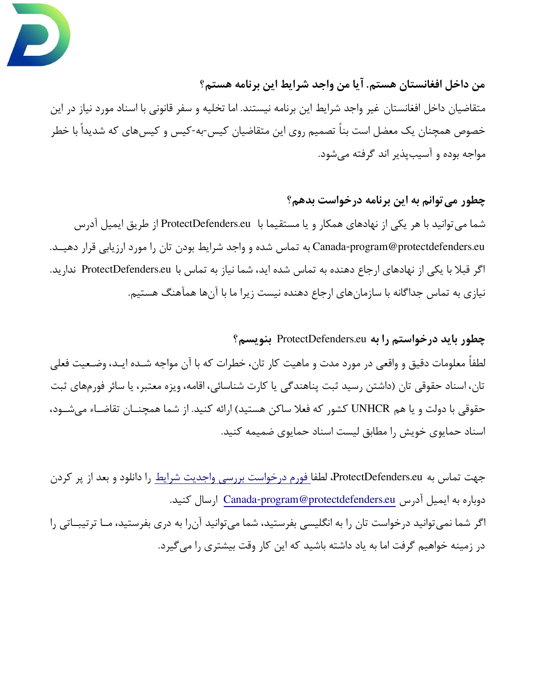

**من داخل افغانستان هستم. آیا من واجد شرایط این برنامه هستم؟** متقاضیان داخل افغانستان غیر واجد شرایط این برنامه نیستند. اما تخلیه و سفر قانونی با اسناد مورد نیاز در این خصوص همچنان یک معضل است بناً تصمیم روی این متقاضیان کیس-به-کیس و کیسهای که شدیداً با خطر مواجه بوده و آسیبپذیر اند گرفته میشود.

## **چطور میتوانم به این برنامه درخواست بدهم؟**

شما می توانید با هر یکی از نهادهای همکار و یا مستقیما با ProtectDefenders.eu از طریق ایمیل آدرس eu.protectdefenders@program-Canada به تماس شده و واجد شرایط بودن تان را مورد ارزیابی قرار دهید. اگر قبلا با یکی از نهادهای ارجاع دهنده به تماس شده اید، شما نیاز به تماس با ProtectDefenders.eu ندارید. نیازی به تماس جداگانه با سازمانهای ارجاع دهنده نیست زیرا ما با آنها همآهنگ هستیم.

**چطور باید درخواستم را به** eu.ProtectDefenders **بنویسم؟** لطفاً معلومات دقیق و واقعی در مورد مدت و ماهیت کار تان، خطرات که با آن مواجه شده اید، وضعیت فعلی تان، اسناد حقوقی تان (داشتن رسید ثبت پناهندگی یا کارت شناسائی، اقامه، ویزه معتبر، یا سائر فورمهای ثبت حقوقی با دولت و یا هم UNHCR کشور که فعال ساکن هستید( ارائه کنید. از شما همچنان تقاضاء میشود، اسناد حمایوی خویش را مطابق لیست اسناد حمایوی ضمیمه کنید.

جهت تماس به ProtectDefenders.eu، لطف[ا فورم درخواست بررسی واجدیت شرایط](https://protectdefenders.eu/wp-content/uploads/2020/07/Eligibility-Screening-Request-ProtectDefenders_eu-Canada-Resettlement-Stream.docx) را دانلود و بعد از پر کردن دوباره به ایمیل آدرس eu.protectdefenders@program-Canada ارسال کنید. اگر شما نمیتوانید درخواست تان را به انگلیسی بفرستید، شما میتوانید آنرا به دری بفرستید، ما ترتیباتی را در زمینه خواهیم گرفت اما به یاد داشته باشید که این کار وقت بیشتری را میگیرد.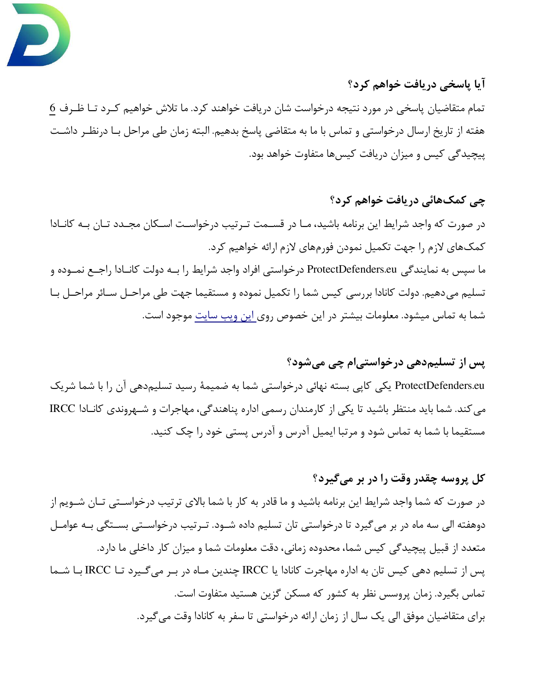

**آیا پاسخی دریافت خواهم کرد؟** تمام متقاضیان پاسخی در مورد نتیجه درخواست شان دریافت خواهند کرد. ما تالش خواهیم کرد تا ظرف 6 هفته از تاریخ ارسال درخواستی و تماس با ما به متقاضی پاسخ بدهیم. البته زمان طی مراحل با درنظر داشت پیچیدگی کیس و میزان دریافت کیسها متفاوت خواهد بود.

## **چی کمکهائی دریافت خواهم کرد؟**

در صورت که واجد شرایط این برنامه باشید، ما در قسمت ترتیب درخواست اسکان مجدد تان به کانادا کمکهای الزم را جهت تکمیل نمودن فورمهای الزم ارائه خواهیم کرد.

ما سپس به نمایندگی eu.ProtectDefenders درخواستی افراد واجد شرایط را به دولت کانادا راجع نموده و تسلیم میدهیم. دولت کانادا بررسی کیس شما را تکمیل نموده و مستقیما جهت طی مراحل سائر مراحل با شما به تماس میشود. معلومات بیشتر در این خصوص رو[ی این ویب سایت](https://www.canada.ca/en/immigration-refugees-citizenship/services/application/application-forms-guides/guide-6000-convention-refugees-abroad-humanitarian-protected-persons-abroad.html) موجود است.

## **پس از تسلیمدهی درخواستیام چی میشود؟**

eu.ProtectDefenders یکی کاپی بسته نهائی درخواستی شما به ضمیمۀ رسید تسلیمدهی آن را با شما شریک میکند. شما باید منتظر باشید تا یکی از کارمندان رسمی اداره پناهندگی، مهاجرات و شهروندی کانادا IRCC مستقیما با شما به تماس شود و مرتبا ایمیل آدرس و آدرس پستی خود را چک کنید.

# **کل پروسه چقدر وقت را در بر میگیرد؟**

در صورت که شما واجد شرایط این برنامه باشید و ما قادر به کار با شما باالی ترتیب درخواستی تان شویم از دوهفته الی سه ماه در بر میگیرد تا درخواستی تان تسلیم داده شود. ترتیب درخواستی بستگی به عوامل متعدد از قبیل پیچیدگی کیس شما، محدوده زمانی، دقت معلومات شما و میزان کار داخلی ما دارد. پس از تسلیم دهی کیس تان به اداره مهاجرت کانادا یا IRCC چندین ماه در بر میگیرد تا IRCC با شما تماس بگیرد. زمان پروسس نظر به کشور که مسکن گزین هستید متفاوت است. برای متقاضیان موفق الی یک سال از زمان ارائه درخواستی تا سفر به کانادا وقت میگیرد.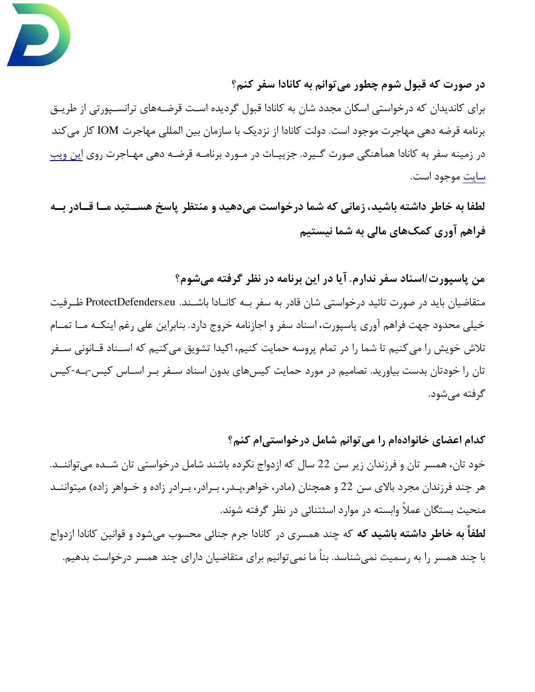

**در صورت که قبول شوم چطور میتوانم به کانادا سفر کنم؟**

برای کاندیدان که درخواستی اسکان مجدد شان به کانادا قبول گردیده است قرضههای ترانسپورتی از طریق برنامه قرضه دهی مهاجرت موجود است. دولت کانادا از نزدیک با سازمان بین المللی مهاجرت IOM کار میکند در زمینه سفر به کانادا همآهنگی صورت گیرد. جزییات در مورد برنامه قرضه دهی مهاجرت روی [این ویب](https://www.canada.ca/en/immigration-refugees-citizenship/services/application/application-forms-guides/guide-6000-convention-refugees-abroad-humanitarian-protected-persons-abroad.html) [سایت](https://www.canada.ca/en/immigration-refugees-citizenship/services/application/application-forms-guides/guide-6000-convention-refugees-abroad-humanitarian-protected-persons-abroad.html) موجود است.

**لطفا به خاطر داشته باشید، زمانی که شما درخواست میدهید و منتظر پاسخ هسLتید مLا قLادر بLLه فراهم آوری کمکهای مالی به شما نیستیم**

**من پاسپورت/اسناد سفر ندارم. آیا در این برنامه در نظر گرفته میشوم؟** متقاضیان باید در صورت تائید درخواستی شان قادر به سفر به کانادا باشند. eu.ProtectDefenders ظرفیت خیلی محدود جهت فراهم آوری پاسپورت، اسناد سفر و اجازنامه خروج دارد. بنابراین علی رغم اینکه ما تمام تلاش خویش را می کنیم تا شما را در تمام پروسه حمایت کنیم، اکیدا تشویق میکنیم که اســناد قــانونی ســفر تان را خودتان بدست بیاورید. تصامیم در مورد حمایت کیسهای بدون اسناد سفر بر اساس کیس-به-کیس گرفته میشود.

**کدام اعضای خانوادهام را میتوانم شامل درخواستیام کنم؟**  خود تان، همسر تان و فرزندان زیر سن 22 سال که ازدواج نکرده باشند شامل درخواستی تان شده میتوانند. هر چند فرزندان مجرد بالای سن 22 و همچنان (مادر، خواهر،پـدر، بـرادر، بـرادر زاده و خـواهر زاده) میتواننــد منحیث بستگان عملاً وابسته در موارد اسثتنائی در نظر گرفته شوند.

**لطفاً به خاطر داشته باشید که** که چند همسری در کانادا جرم جنائی محسوب میشود و قوانین کانادا ازدواج با چند همسر را به رسمیت نمیشناسد. بناً ما نمیتوانیم برای متقاضیان دارای چند همسر درخواست بدهیم.